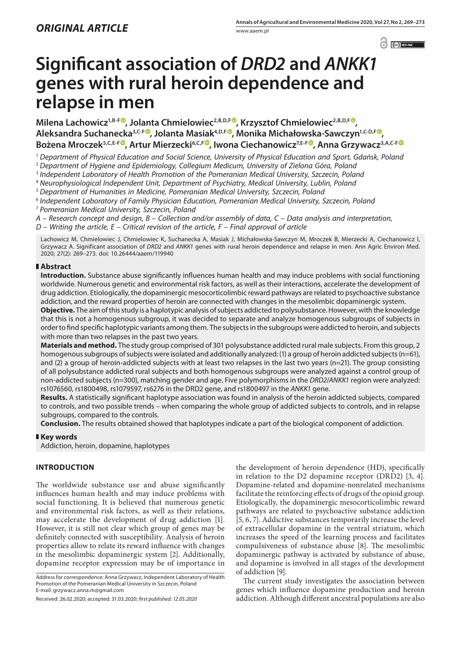$\odot$   $\odot$   $BY-NC$ 

# **Significant association of** *DRD2* **and** *ANKK1* **genes with rural heroin dependence and relapse in men**

 $M$ ilena Lachowicz<sup>1,B-[F](https://orcid.org/0000-0003-3285-5313)®</sup>, Jolanta Chmielowiec<sup>2,B,D,F®</sup>, Krzysztof Chmielowiec<sup>2,B,D,F®</sup>, **Aleksandra Suchanecka3,C-F , Jolanta Masiak4,D,F , Monika Michałowska-Sawczyn1,C-D,F , Bożena Mroczek5,C,E-[F](https://orcid.org/0000-0002-6745-4942) , Artur Mierzecki6,C,[F](https://orcid.org/0000-0003-0822-8141) , Iwona Ciechanowicz7,E-[F](https://orcid.org/0000-0001-5166-1077) , Anna Grzywacz3,A,C-F**

<sup>1</sup> *Department of Physical Education and Social Science, University of Physical Education and Sport, Gdańsk, Poland*

<sup>2</sup> *Department of Hygiene and Epidemiology, Collegium Medicum, University of Zielona Góra, Poland*

<sup>3</sup> *Independent Laboratory of Health Promotion of the Pomeranian Medical University, Szczecin, Poland*

<sup>4</sup> *Neurophysiological Independent Unit, Department of Psychiatry, Medical University, Lublin, Poland*

<sup>5</sup> *Department of Humanities in Medicine, Pomeranian Medical University, Szczecin, Poland*

<sup>6</sup> *Independent Laboratory of Family Physician Education, Pomeranian Medical University, Szczecin, Poland*

<sup>7</sup> *Pomeranian Medical University, Szczecin, Poland*

*A – Research concept and design, B – Collection and/or assembly of data, C – Data analysis and interpretation, D – Writing the article, E – Critical revision of the article, F – Final approval of article*

Lachowicz M, Chmielowiec J, Chmielowiec K, Suchanecka A, Masiak J, Michałowska-Sawczyn M, Mroczek B, Mierzecki A, Ciechanowicz I, Grzywacz A. Significant association of *DRD2* and *ANKK1* genes with rural heroin dependence and relapse in men. Ann Agric Environ Med. 2020; 27(2): 269–273. doi: 10.26444/aaem/119940

#### **Abstract**

**Introduction.** Substance abuse significantly influences human health and may induce problems with social functioning worldwide. Numerous genetic and environmental risk factors, as well as their interactions, accelerate the development of drug addiction. Etiologically, the dopaminergic mesocorticolimbic reward pathways are related to psychoactive substance addiction, and the reward properties of heroin are connected with changes in the mesolimbic dopaminergic system.

**Objective.** The aim of this study is a haplotypic analysis of subjects addicted to polysubstance. However, with the knowledge that this is not a homogenous subgroup, it was decided to separate and analyze homogenous subgroups of subjects in order to find specific haplotypic variants among them. The subjects in the subgroups were addicted to heroin, and subjects with more than two relapses in the past two years.

**Materials and method.** The study group comprised of 301 polysubstance addicted rural male subjects. From this group, 2 homogenous subgroups of subjects were isolated and additionally analyzed: (1) a group of heroin addicted subjects (n=61), and (2) a group of heroin-addicted subjects with at least two relapses in the last two years (n=21). The group consisting of all polysubstance addicted rural subjects and both homogenous subgroups were analyzed against a control group of non-addicted subjects (n=300), matching gender and age. Five polymorphisms in the *DRD2*/*ANKK1* region were analyzed: rs1076560, rs1800498, rs1079597, rs6276 in the DRD2 gene, and rs1800497 in the *ANKK1* gene.

**Results.** A statistically significant haplotype association was found in analysis of the heroin addicted subjects, compared to controls, and two possible trends – when comparing the whole group of addicted subjects to controls, and in relapse subgroups, compared to the controls.

**Conclusion.** The results obtained showed that haplotypes indicate a part of the biological component of addiction.

#### **Key words**

Addiction, heroin, dopamine, haplotypes

# **INTRODUCTION**

The worldwide substance use and abuse significantly influences human health and may induce problems with social functioning. It is believed that numerous genetic and environmental risk factors, as well as their relations, may accelerate the development of drug addiction [1]. However, it is still not clear which group of genes may be definitely connected with susceptibility. Analysis of heroin properties allow to relate its reward influence with changes in the mesolimbic dopaminergic system [2]. Additionally, dopamine receptor expression may be of importance in

Address for correspondence: Anna Grzywacz, Independent Laboratory of Health Promotion of the Pomeranian Medical University in Szczecin, Poland E-mail: grzywacz.anna.m@gmail.com

Received: 26.02.2020; accepted: 31.03.2020; *first published: 12.05.2020*

the development of heroin dependence (HD), specifically in relation to the D2 dopamine receptor (DRD2) [3, 4]. Dopamine-related and dopamine-nonrelated mechanisms facilitate the reinforcing effects of drugs of the opioid group. Etiologically, the dopaminergic mesocorticolimbic reward pathways are related to psychoactive substance addiction [5, 6, 7]. Addictive substances temporarily increase the level of extracellular dopamine in the ventral striatum, which increases the speed of the learning process and facilitates compulsiveness of substance abuse [8]. The mesolimbic dopaminergic pathway is activated by substance of abuse, and dopamine is involved in all stages of the development of addiction [9].

The current study investigates the association between genes which influence dopamine production and heroin addiction. Although different ancestral populations are also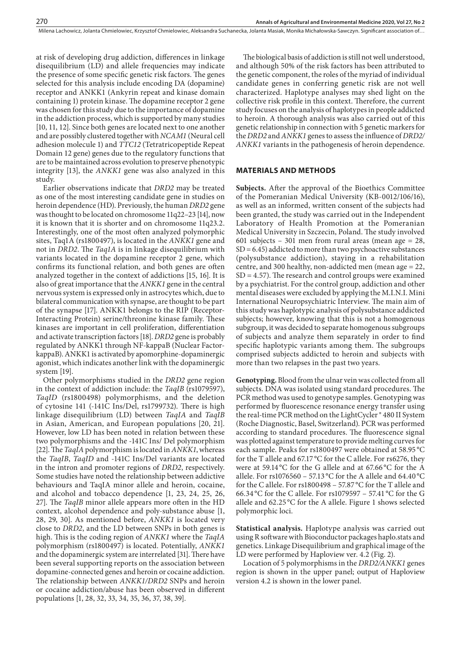at risk of developing drug addiction, differences in linkage disequilibrium (LD) and allele frequencies may indicate the presence of some specific genetic risk factors. The genes selected for this analysis include encoding DA (dopamine) receptor and ANKK1 (Ankyrin repeat and kinase domain containing 1) protein kinase. The dopamine receptor 2 gene was chosen for this study due to the importance of dopamine in the addiction process, which is supported by many studies [10, 11, 12]. Since both genes are located next to one another and are possibly clustered together with *NCAM1* (Neural cell adhesion molecule 1) and *TTC12* (Tetratricopeptide Repeat Domain 12 gene) genes due to the regulatory functions that are to be maintained across evolution to preserve phenotypic integrity [13], the *ANKK1* gene was also analyzed in this study.

Earlier observations indicate that *DRD2* may be treated as one of the most interesting candidate gene in studies on heroin dependence (HD). Previously, the human *DRD2* gene was thought to be located on chromosome 11q22–23 [14], now it is known that it is shorter and on chromosome 11q23.2. Interestingly, one of the most often analyzed polymorphic sites, Taq1A (rs1800497), is located in the *ANKK1* gene and not in *DRD2*. The *Taq1A* is in linkage disequilibrium with variants located in the dopamine receptor 2 gene, which confirms its functional relation, and both genes are often analyzed together in the context of addictions [15, 16]. It is also of great importance that the *ANKK1* gene in the central nervous system is expressed only in astrocytes which, due to bilateral communication with synapse, are thought to be part of the synapse [17]. ANKK1 belongs to the RIP (Receptor-Interacting Protein) serine/threonine kinase family. These kinases are important in cell proliferation, differentiation and activate transcription factors [18]. *DRD2* gene is probably regulated by ANKK1 through NF-kappaB (Nuclear FactorkappaB). ANKK1 is activated by apomorphine-dopaminergic agonist, which indicates another link with the dopaminergic system [19].

Other polymorphisms studied in the *DRD2* gene region in the context of addiction include: the *TaqIB* (rs1079597), *TaqID* (rs1800498) polymorphisms, and the deletion of cytosine 141 (-141C Ins/Del, rs1799732). There is high linkage disequilibrium (LD) between *TaqIA* and *TaqIB* in Asian, American, and European populations [20, 21]. However, low LD has been noted in relation between these two polymorphisms and the -141C Ins/ Del polymorphism [22]. The *TaqIA* polymorphism is located in *ANKK1*, whereas the *TaqIB*, *TaqID* and -141C Ins/Del variants are located in the intron and promoter regions of *DRD2*, respectively. Some studies have noted the relationship between addictive behaviours and TaqIA minor allele and heroin, cocaine, and alcohol and tobacco dependence [1, 23, 24, 25, 26, 27]. The *TaqIB* minor allele appears more often in the HD context, alcohol dependence and poly-substance abuse [1, 28, 29, 30]. As mentioned before, *ANKK1* is located very close to *DRD2*, and the LD between SNPs in both genes is high. This is the coding region of *ANKK1* where the *TaqIA* polymorphism (rs1800497) is located. Potentially, *ANKK1* and the dopaminergic system are interrelated [31]. There have been several supporting reports on the association between dopamine-connected genes and heroin or cocaine addiction. The relationship between *ANKK1/DRD2* SNPs and heroin or cocaine addiction/abuse has been observed in different populations [1, 28, 32, 33, 34, 35, 36, 37, 38, 39].

The biological basis of addiction is still not well understood, and although 50% of the risk factors has been attributed to the genetic component, the roles of the myriad of individual candidate genes in conferring genetic risk are not well characterized. Haplotype analyses may shed light on the collective risk profile in this context. Therefore, the current study focuses on the analysis of haplotypes in people addicted to heroin. A thorough analysis was also carried out of this genetic relationship in connection with 5 genetic markers for the *DRD2* and *ANKK1* genes to assess the influence of *DRD2/ ANKK1* variants in the pathogenesis of heroin dependence.

## **MATERIALS AND METHODS**

**Subjects.** After the approval of the Bioethics Committee of the Pomeranian Medical University (KB-0012/106/16), as well as an informed, written consent of the subjects had been granted, the study was carried out in the Independent Laboratory of Health Promotion at the Pomeranian Medical University in Szczecin, Poland. The study involved 601 subjects – 301 men from rural areas (mean age  $= 28$ ,  $SD = 6.45$ ) addicted to more than two psychoactive substances (polysubstance addiction), staying in a rehabilitation centre, and 300 healthy, non-addicted men (mean age = 22,  $SD = 4.57$ ). The research and control groups were examined by a psychiatrist. For the control group, addiction and other mental diseases were excluded by applying the M.I.N.I. Mini International Neuropsychiatric Interview. The main aim of this study was haplotypic analysis of polysubstance addicted subjects; however, knowing that this is not a homogenous subgroup, it was decided to separate homogenous subgroups of subjects and analyze them separately in order to find specific haplotypic variants among them. The subgroups comprised subjects addicted to heroin and subjects with more than two relapses in the past two years.

**Genotyping.** Blood from the ulnar vein was collected from all subjects. DNA was isolated using standard procedures. The PCR method was used to genotype samples. Genotyping was performed by fluorescence resonance energy transfer using the real-time PCR method on the LightCycler ® 480 II System (Roche Diagnostic, Basel, Switzerland). PCR was performed according to standard procedures. The fluorescence signal was plotted against temperature to provide melting curves for each sample. Peaks for rs1800497 were obtained at 58.95 °C for the T allele and 67.17 °C for the C allele. For rs6276, they were at 59.14 °C for the G allele and at 67.66 °C for the A allele. For rs1076560 – 57.13 °C for the A allele and 64.40 °C for the C allele. For rs1800498 – 57.87 °C for the T allele and 66.34 °C for the C allele. For rs1079597 – 57.41 °C for the G allele and 62.25 °C for the A allele. Figure 1 shows selected polymorphic loci.

**Statistical analysis.** Haplotype analysis was carried out using R software with Bioconductor packages haplo.stats and genetics. Linkage Disequilibrium and graphical image of the LD were performed by Haploview ver. 4.2 (Fig. 2).

Location of 5 polymorphisms in the *DRD2/ANKK1* genes region is shown in the upper panel; output of Haploview version 4.2 is shown in the lower panel.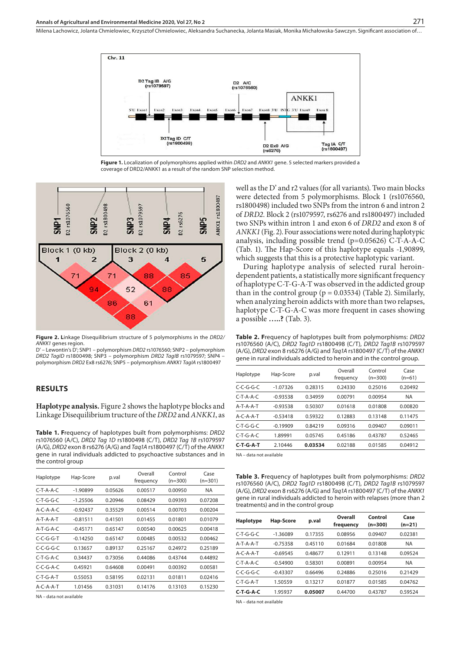Milena Lachowicz, Jolanta Chmielowiec, Krzysztof Chmielowiec, Aleksandra Suchanecka, Jolanta Masiak, Monika Michałowska-Sawczyn . Significant association of…



**Figure 1.** Localization of polymorphisms applied within *DRD2* and *ANKK1* gene. 5 selected markers provided a coverage of DRD2/ANKK1 as a result of the random SNP selection method.



**Figure 2. L**inkage Disequilibrium structure of 5 polymorphisms in the *DRD2/ ANKK1* genes region.

D' – Lewontin's D'; SNP1 – polymorphism *DRD2* rs1076560; SNP2 – polymorphism *DRD2 TagID* rs1800498; SNP3 – polymorphism *DRD2 TagIB* rs1079597; SNP4 – polymorphism *DRD2* Ex8 rs6276; SNP5 – polymorphism *ANKK1 TagIA* rs1800497

#### **RESULTS**

**Haplotype analysis.** Figure 2 shows the haplotype blocks and Linkage Disequilibrium tructure of the *DRD2* and *ANKK1*, as

**Table 1. F**requency of haplotypes built from polymorphisms: *DRD2* rs1076560 (A/C), *DRD2 Tag 1D* rs1800498 (C/T), *DRD2 Tag 1B* rs1079597 (A/G), *DRD2* exon 8 rs6276 (A/G) and *Taq1A* rs1800497 (C/T) of the *ANKK1* gene in rural individuals addicted to psychoactive substances and in the control group

| Haplotype            | Hap-Score  | p.val   | Overall<br>frequency | Control<br>$(n=300)$ | Case<br>$(n=301)$ |
|----------------------|------------|---------|----------------------|----------------------|-------------------|
| $C$ -T-A-A-C         | $-1.90899$ | 0.05626 | 0.00517              | 0.00950              | <b>NA</b>         |
| $C$ -T-G-G-C         | $-1.25506$ | 0.20946 | 0.08429              | 0.09393              | 0.07208           |
| $A - C - A - A - C$  | $-0.92437$ | 0.35529 | 0.00514              | 0.00703              | 0.00204           |
| $A-T-A-A-T$          | $-0.81511$ | 0.41501 | 0.01455              | 0.01801              | 0.01079           |
| $A-T-G-A-C$          | $-0.45171$ | 0.65147 | 0.00540              | 0.00625              | 0.00418           |
| $C$ - $C$ -G- $G$ -T | $-0.14250$ | 0.65147 | 0.00485              | 0.00532              | 0.00462           |
| $C$ -C-G-G-C         | 0.13657    | 0.89137 | 0.25167              | 0.24972              | 0.25189           |
| $C$ -T-G-A-C         | 0.34437    | 0.73056 | 0.44086              | 0.43744              | 0.44892           |
| $C$ -C-G-A-C         | 0.45921    | 0.64608 | 0.00491              | 0.00392              | 0.00581           |
| $C-T-G-A-T$          | 0.55053    | 0.58195 | 0.02131              | 0.01811              | 0.02416           |
| $A - C - A - A - T$  | 1.01456    | 0.31031 | 0.14176              | 0.13103              | 0.15230           |

NA – data not available

well as the D' and r2 values (for all variants). Two main blocks were detected from 5 polymorphisms. Block 1 (rs1076560, rs1800498) included two SNPs from the intron 6 and intron 2 of *DRD2*. Block 2 (rs1079597, rs6276 and rs1800497) included two SNPs within intron 1 and exon 6 of *DRD2* and exon 8 of *ANKK1* (Fig. 2). Four associations were noted during haplotypic analysis, including possible trend (p=0.05626) C-T-A-A-C (Tab. 1). The Hap-Score of this haplotype equals -1,90899, which suggests that this is a protective haplotypic variant.

During haplotype analysis of selected rural heroindependent patients, a statistically more significant frequency of haplotype C-T-G-A-T was observed in the addicted group than in the control group ( $p = 0.03534$ ) (Table 2). Similarly, when analyzing heroin addicts with more than two relapses, haplotype C-T-G-A-C was more frequent in cases showing a possible **…..?** (Tab. 3).

**Table 2. F**requency of haplotypes built from polymorphisms: *DRD2* rs1076560 (A/C), *DRD2 Tag1D* rs1800498 (C/T), *DRD2 Tag1B* rs1079597 (A/G), *DRD2* exon 8 rs6276 (A/G) and *Taq1A* rs1800497 (C/T) of the *ANKK1* gene in rural individuals addicted to heroin and in the control group.

| Haplotype           | Hap-Score  | p.val   | Overall<br>frequency | Control<br>$(n=300)$ | Case<br>$(n=61)$ |
|---------------------|------------|---------|----------------------|----------------------|------------------|
| $C$ -C-G-G-C        | $-1.07326$ | 0.28315 | 0.24330              | 0.25016              | 0.20492          |
| $C$ -T-A-A- $C$     | $-0.93538$ | 0.34959 | 0.00791              | 0.00954              | <b>NA</b>        |
| $A-T-A-A-T$         | $-0.93538$ | 0.50307 | 0.01618              | 0.01808              | 0.00820          |
| $A - C - A - A - T$ | $-0.53418$ | 0.59322 | 0.12883              | 0.13148              | 0.11475          |
| $C-T-G-G-C$         | $-0.19909$ | 0.84219 | 0.09316              | 0.09407              | 0.09011          |
| $C-T-G-A-C$         | 1.89991    | 0.05745 | 0.45186              | 0.43787              | 0.52465          |
| $C-T-G-A-T$         | 2.10446    | 0.03534 | 0.02188              | 0.01585              | 0.04912          |

NA – data not available

**Table 3. F**requency of haplotypes built from polymorphisms: *DRD2* rs1076560 (A/C), *DRD2 Tag1D* rs1800498 (C/T), *DRD2 Tag1B* rs1079597 (A/G), *DRD2* exon 8 rs6276 (A/G) and *Taq1A* rs1800497 (C/T) of the *ANKK1* gene in rural individuals addicted to heroin with relapses (more than 2 treatments) and in the control group

| <b>Haplotype</b>    | <b>Hap-Score</b> | p.val   | Overall<br>frequency | Control<br>$(n=300)$ | Case<br>$(n=21)$ |
|---------------------|------------------|---------|----------------------|----------------------|------------------|
| $C$ -T-G-G-C        | $-1.36089$       | 0.17355 | 0.08956              | 0.09407              | 0.02381          |
| $A-T-A-A-T$         | $-0.75358$       | 0.45110 | 0.01684              | 0.01808              | <b>NA</b>        |
| $A - C - A - A - T$ | $-0.69545$       | 0.48677 | 0.12911              | 0.13148              | 0.09524          |
| $C$ -T-A-A- $C$     | $-0.54900$       | 0.58301 | 0.00891              | 0.00954              | <b>NA</b>        |
| $C$ -C-G-G-C        | $-0.43307$       | 0.66496 | 0.24886              | 0.25016              | 0.21429          |
| $C-T-G-A-T$         | 1.50559          | 0.13217 | 0.01877              | 0.01585              | 0.04762          |
| $C-T-G-A-C$         | 1.95937          | 0.05007 | 0.44700              | 0.43787              | 0.59524          |

NA – data not available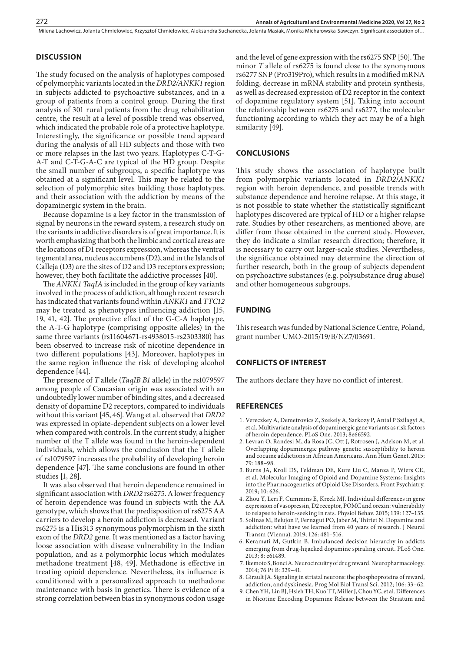Milena Lachowicz, Jolanta Chmielowiec, Krzysztof Chmielowiec, Aleksandra Suchanecka, Jolanta Masiak, Monika Michałowska-Sawczyn . Significant association of…

# **DISCUSSION**

The study focused on the analysis of haplotypes composed of polymorphic variants located in the *DRD2/ANKK1* region in subjects addicted to psychoactive substances, and in a group of patients from a control group. During the first analysis of 301 rural patients from the drug rehabilitation centre, the result at a level of possible trend was observed, which indicated the probable role of a protective haplotype. Interestingly, the significance or possible trend appeard during the analysis of all HD subjects and those with two or more relapses in the last two years. Haplotypes C-T-G-A-T and C-T-G-A-C are typical of the HD group. Despite the small number of subgroups, a specific haplotype was obtained at a significant level. This may be related to the selection of polymorphic sites building those haplotypes, and their association with the addiction by means of the dopaminergic system in the brain.

Because dopamine is a key factor in the transmission of signal by neurons in the reward system, a research study on the variants in addictive disorders is of great importance. It is worth emphasizing that both the limbic and cortical areas are the locations of D1 receptors expression, whereas the ventral tegmental area, nucleus accumbens (D2), and in the Islands of Calleja (D3) are the sites of D2 and D3 receptors expression; however, they both facilitate the addictive processes [40].

The *ANKK1 TaqIA* is included in the group of key variants involved in the process of addiction, although recent research has indicated that variants found within *ANKK1* and *TTC12* may be treated as phenotypes influencing addiction [15, 19, 41, 42]. The protective effect of the G-C-A haplotype, the A-T-G haplotype (comprising opposite alleles) in the same three variants (rs11604671-rs4938015-rs2303380) has been observed to increase risk of nicotine dependence in two different populations [43]. Moreover, haplotypes in the same region influence the risk of developing alcohol dependence [44].

The presence of *T* allele (*TaqIB B1* allele) in the rs1079597 among people of Caucasian origin was associated with an undoubtedly lower number of binding sites, and a decreased density of dopamine D2 receptors, compared to individuals without this variant [45, 46]. Wang et al. observed that *DRD2*  was expressed in opiate-dependent subjects on a lower level when compared with controls. In the current study, a higher number of the T allele was found in the heroin-dependent individuals, which allows the conclusion that the T allele of rs1079597 increases the probability of developing heroin dependence [47]. The same conclusions are found in other studies [1, 28].

It was also observed that heroin dependence remained in significant association with *DRD2* rs6275. A lower frequency of heroin dependence was found in subjects with the AA genotype, which shows that the predisposition of rs6275 AA carriers to develop a heroin addiction is decreased. Variant rs6275 is a His313 synonymous polymorphism in the sixth exon of the *DRD2* gene. It was mentioned as a factor having loose association with disease vulnerability in the Indian population, and as a polymorphic locus which modulates methadone treatment [48, 49]. Methadone is effective in treating opioid dependence. Nevertheless, its influence is conditioned with a personalized approach to methadone maintenance with basis in genetics. There is evidence of a strong correlation between bias in synonymous codon usage

and the level of gene expression with the rs6275 SNP [50]. The minor *T* allele of rs6275 is found close to the synonymous rs6277 SNP (Pro319Pro), which results in a modified mRNA folding, decrease in mRNA stability and protein synthesis, as well as decreased expression of D2 receptor in the context of dopamine regulatory system [51]. Taking into account the relationship between rs6275 and rs6277, the molecular functioning according to which they act may be of a high similarity [49].

# **CONCLUSIONS**

This study shows the association of haplotype built from polymorphic variants located in *DRD2*/*ANKK1* region with heroin dependence, and possible trends with substance dependence and heroine relapse. At this stage, it is not possible to state whether the statistically significant haplotypes discovered are typical of HD or a higher relapse rate. Studies by other researchers, as mentioned above, are differ from those obtained in the current study. However, they do indicate a similar research direction; therefore, it is necessary to carry out larger-scale studies. Nevertheless, the significance obtained may determine the direction of further research, both in the group of subjects dependent on psychoactive substances (e.g. polysubstance drug abuse) and other homogeneous subgroups.

# **FUNDING**

This research was funded by National Science Centre, Poland, grant number UMO-2015/19/B/NZ7/03691.

## **CONFLICTS OF INTEREST**

The authors declare they have no conflict of interest.

## **REFERENCES**

- 1. Vereczkey A, Demetrovics Z, Szekely A, Sarkozy P, Antal P Szilagyi A, et al. Multivariate analysis of dopaminergic gene variants as risk factors of heroin dependence. PLoS One. 2013; 8e66592.
- 2. Levran O, Randesi M, da Rosa JC, Ott J, Rotrosen J, Adelson M, et al. Overlapping dopaminergic pathway genetic susceptibility to heroin and cocaine addictions in African Americans. Ann Hum Genet. 2015; 79: 188–98.
- 3. Burns JA, Kroll DS, Feldman DE, Kure Liu C, Manza P, Wiers CE, et al. Molecular Imaging of Opioid and Dopamine Systems: Insights into the Pharmacogenetics of Opioid Use Disorders. Front Psychiatry. 2019; 10: 626.
- 4. Zhou Y, Leri F, Cummins E, Kreek MJ. Individual differences in gene expression of vasopressin, D2 receptor, POMC and orexin: vulnerability to relapse to heroin-seeking in rats. Physiol Behav. 2015; 139: 127–135.
- 5. Solinas M, Belujon P, Fernagut PO, Jaber M, Thiriet N. Dopamine and addiction: what have we learned from 40 years of research. J Neural Transm (Vienna). 2019; 126: 481–516.
- 6. Keramati M, Gutkin B. Imbalanced decision hierarchy in addicts emerging from drug-hijacked dopamine spiraling circuit. PLoS One. 2013; 8: e61489.
- 7. Ikemoto S, Bonci A. Neurocircuitry of drug reward. Neuropharmacology. 2014; 76 Pt B: 329–41.
- 8. Girault JA. Signaling in striatal neurons: the phosphoproteins of reward, addiction, and dyskinesia. Prog Mol Biol Transl Sci. 2012; 106: 33–62.
- 9. Chen YH, Lin BJ, Hsieh TH, Kuo TT, Miller J, Chou YC, et al. Differences in Nicotine Encoding Dopamine Release between the Striatum and